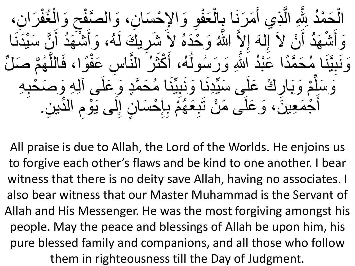الْجَمْدُ بِثِّهِ الَّذِي أَمَرَنَا بِالْعَفْوِ وَالإِجْسَانِ، وَالصَّفْحِ وَالْغُفْرَانِ،<br>فَقَدْ فَقَدَ اللَّهِ الْمَرَانِ <u>֩</u> ر<br>ح ْ  $\sum$ <u>֧</u> **ا** ا **ِ** <u>֩</u> ْ  $\frac{1}{2}$  $\tilde{\mathfrak{f}}$ ه مة<br>ما ر<br>ا ْ ْ اللَّهُ وَحْدَهُ لاَ شَرِيكَ لَهُ، وَأَشْهَدُ أَنَّ سَيِّدَنَا ِی مالۂ ن<br>و  $\tilde{\mathfrak{h}}$ ر<br>ا ْمْ  $\tilde{\mathfrak{f}}$ ر<br>ل **</sub>** ْ ه<br>اللَّ وَ أَشْهَدُ أَنْ لاَ إِلٰهَ إِلاَّ  $\frac{1}{2}$ ْ  $\tilde{\mathfrak{h}}$ ر<br>ا ْ  $\tilde{\mathfrak{f}}$ وَنَبِيَّنَا مُحَمَّدًا عَبْدُ اللَّهِ وَرَسُولُهُ، أَكْثَرُ النَّاسِ عَفْوًا، فَاللَّهُمَّ صَلِّ ته<br>م و<br>په ه ً ْ ه ر<br>\_  $\overline{\phantom{a}}$ **a**  $\tilde{\mathfrak{f}}$ ر<br>لم ر<br>ا ر<br>پل تەن<br>كا و<br>ا  $\frac{1}{\sqrt{2}}$ ً ت<br>م ه<br>ما  $\frac{1}{2}$ وَسَلِّمْ وَبَارِكْ عَلَى سَيِّدْنَا وَنَبِيِّنَا مُحَمَّدٍ وَعَلَى آلِهِ وَصَحْبِهِ  $\frac{1}{2}$ **a**  $\frac{1}{2}$ ته<br>مم ِی ما‡  $\frac{1}{2}$ ِی ما‡  $\frac{1}{2}$ **ٔ**<br>( ا∙<br>ا أَجْمَعِينَ ، وَ عَلَى مَنْ نَبِعَهُمْ بِإِحْسَانٍ إِلَى يَوْمِ الدِّينِ.  $\overline{\phantom{a}}$ ہ<br>م  $\frac{1}{2}$  $\sum_{n=1}^{\infty}$ ْ  $\frac{1}{2}$  $\frac{1}{2}$ **ٔ**<br>( ر<br>په  $\frac{1}{2}$  $\ddot{\bullet}$ **ّ**  $\tilde{\mathfrak{f}}$ 

All praise is due to Allah, the Lord of the Worlds. He enjoins us to forgive each other's flaws and be kind to one another. I bear witness that there is no deity save Allah, having no associates. I also bear witness that our Master Muhammad is the Servant of Allah and His Messenger. He was the most forgiving amongst his people. May the peace and blessings of Allah be upon him, his pure blessed family and companions, and all those who follow them in righteousness till the Day of Judgment.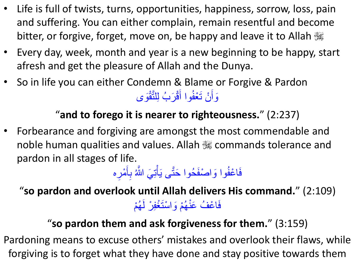- Life is full of twists, turns, opportunities, happiness, sorrow, loss, pain and suffering. You can either complain, remain resentful and become bitter, or forgive, forget, move on, be happy and leave it to Allah  $\mathcal{H}$
- Every day, week, month and year is a new beginning to be happy, start afresh and get the pleasure of Allah and the Dunya.
- So in life you can either Condemn & Blame or Forgive & Pardon وَأَنْ تَعْفُوا أَقْرَبُ لِلنَّقْوَى ر<br>— َ و<br>ا ه

## "**and to forego it is nearer to righteousness.**" (2:237)

• Forbearance and forgiving are amongst the most commendable and noble human qualities and values. Allah  $\frac{100}{100}$  commands tolerance and pardon in all stages of life.

فَاعْفُوا وَاصْفَحُوا حَتَّى يَأْتِيَ اللَّهُ بِأَمْرِه و<br>ک ه ة<br>أ ه ر<br>— **∶** َ ِ

"**so pardon and overlook until Allah delivers His command.**" (2:109) فَاعْفُ عَنْهُمْ وَاسْتَغْفِرْ لَهُمْ ر<br>په ر<br>په لَ

## "**so pardon them and ask forgiveness for them.**" (3:159)

Pardoning means to excuse others' mistakes and overlook their flaws, while forgiving is to forget what they have done and stay positive towards them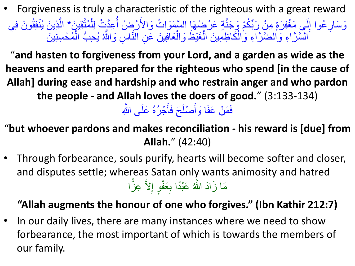• Forgiveness is truly a characteristic of the righteous with a great reward وَسَارِ عُوا إِلَى مَغْفِرَةٍ مِنْ رَبِّكُمْ وَجَنَّةٍ عَرْضُهَا السَّمَوَاتُ وَالأَرْضُ أُعِدَّتْ لِلْمُتَّقِينَ\* الَّذِينَ يُنْفِقُونَ فِي ر<br>ا ِ ه و<br>م ْ ه و<br>أ ر<br>ـ ر<br>په ه ر<br>ا ِّ کا ∙ ر دیا<br>کا و<br>معا ه السَّرَّاءِ وَالضَّرَّاءِ وَالْكَاظِمِينَ الْغَيْظَ وَالْعَافِينَ عَنِ النَّاسِ وَالثَّهُ يُحِبُّ الْمُحْسِنِينَ ر<br>م ْ **شا** و<br>س<mark>ن</mark> ه ه ْ ْ ْ ه ه

"**and hasten to forgiveness from your Lord, and a garden as wide as the heavens and earth prepared for the righteous who spend [in the cause of Allah] during ease and hardship and who restrain anger and who pardon the people - and Allah loves the doers of good.**" (3:133-134)

فَمَنْ عَفَا وَأَصْلَحَ فَأَجْرُهُ عَلَى الثَّهِ ه ر<br>پ َ َ

"**but whoever pardons and makes reconciliation - his reward is [due] from Allah.**" (42:40)

• Through forbearance, souls purify, hearts will become softer and closer, and disputes settle; whereas Satan only wants animosity and hatred مَا زَادَ اللَّهُ عَبْدًا بِعَفْوٍ إِلاَّ عِزًّا ه  $\frac{1}{2}$ متما

## **"Allah augments the honour of one who forgives." (Ibn Kathir 212:7)**

• In our daily lives, there are many instances where we need to show forbearance, the most important of which is towards the members of our family.